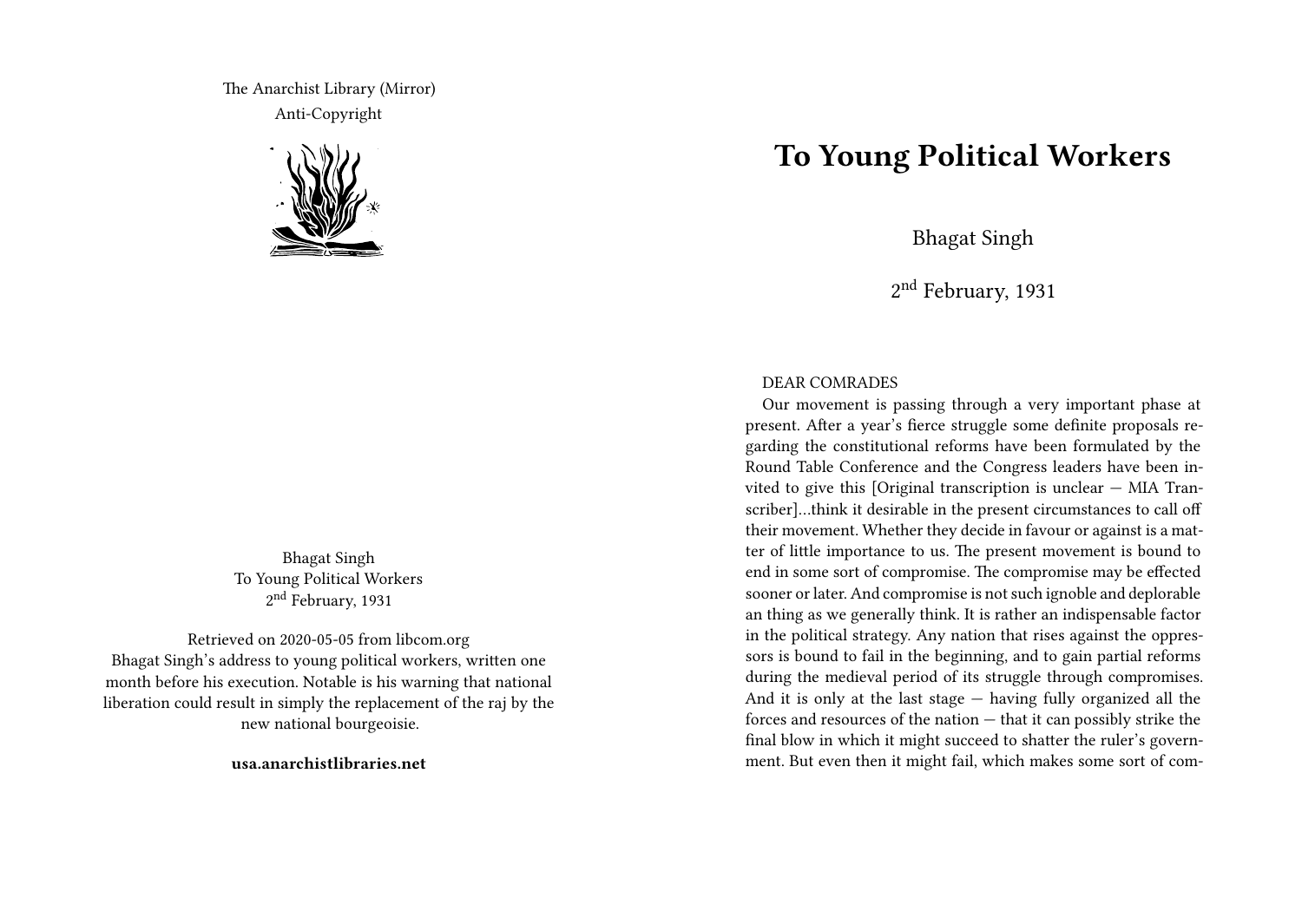The Anarchist Library (Mirror) Anti-Copyright



Bhagat Singh To Young Political Workers 2<sup>nd</sup> February, 1931

Retrieved on 2020-05-05 from libcom.org Bhagat Singh's address to young political workers, written one month before his execution. Notable is his warning that national liberation could result in simply the replacement of the raj by the new national bourgeoisie.

**usa.anarchistlibraries.net**

## **To Young Political Workers**

Bhagat Singh

2<sup>nd</sup> February, 1931

## DEAR COMRADES

Our movement is passing through a very important phase at present. After a year's fierce struggle some definite proposals regarding the constitutional reforms have been formulated by the Round Table Conference and the Congress leaders have been invited to give this [Original transcription is unclear — MIA Transcriber]…think it desirable in the present circumstances to call off their movement. Whether they decide in favour or against is a matter of little importance to us. The present movement is bound to end in some sort of compromise. The compromise may be effected sooner or later. And compromise is not such ignoble and deplorable an thing as we generally think. It is rather an indispensable factor in the political strategy. Any nation that rises against the oppressors is bound to fail in the beginning, and to gain partial reforms during the medieval period of its struggle through compromises. And it is only at the last stage — having fully organized all the forces and resources of the nation — that it can possibly strike the final blow in which it might succeed to shatter the ruler's government. But even then it might fail, which makes some sort of com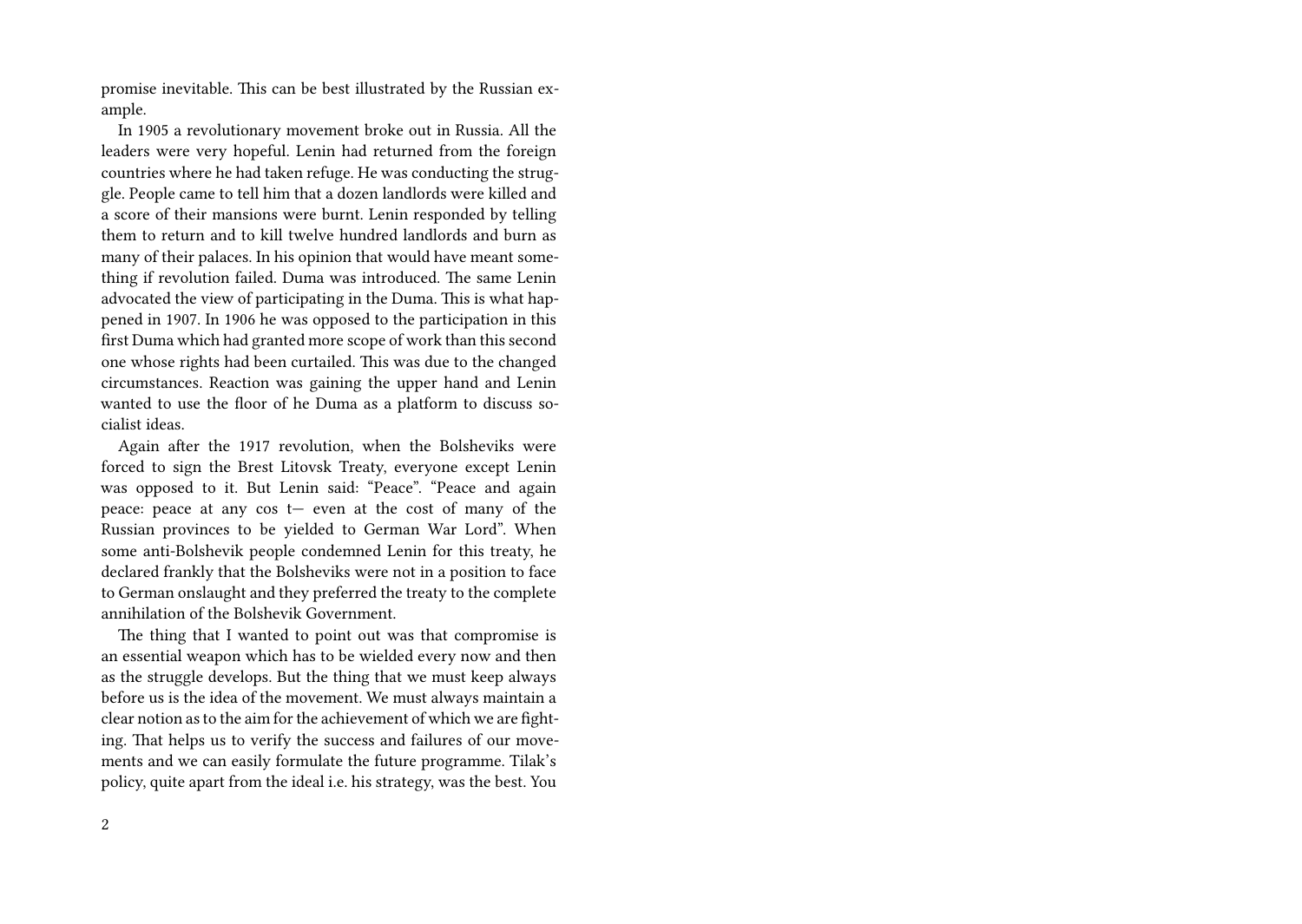promise inevitable. This can be best illustrated by the Russian example.

In 1905 a revolutionary movement broke out in Russia. All the leaders were very hopeful. Lenin had returned from the foreign countries where he had taken refuge. He was conducting the struggle. People came to tell him that a dozen landlords were killed and a score of their mansions were burnt. Lenin responded by telling them to return and to kill twelve hundred landlords and burn as many of their palaces. In his opinion that would have meant something if revolution failed. Duma was introduced. The same Lenin advocated the view of participating in the Duma. This is what happened in 1907. In 1906 he was opposed to the participation in this first Duma which had granted more scope of work than this second one whose rights had been curtailed. This was due to the changed circumstances. Reaction was gaining the upper hand and Lenin wanted to use the floor of he Duma as a platform to discuss socialist ideas.

Again after the 1917 revolution, when the Bolsheviks were forced to sign the Brest Litovsk Treaty, everyone except Lenin was opposed to it. But Lenin said: "Peace". "Peace and again peace: peace at any cos t— even at the cost of many of the Russian provinces to be yielded to German War Lord". When some anti-Bolshevik people condemned Lenin for this treaty, he declared frankly that the Bolsheviks were not in a position to face to German onslaught and they preferred the treaty to the complete annihilation of the Bolshevik Government.

The thing that I wanted to point out was that compromise is an essential weapon which has to be wielded every now and then as the struggle develops. But the thing that we must keep always before us is the idea of the movement. We must always maintain a clear notion as to the aim for the achievement of which we are fighting. That helps us to verify the success and failures of our movements and we can easily formulate the future programme. Tilak's policy, quite apart from the ideal i.e. his strategy, was the best. You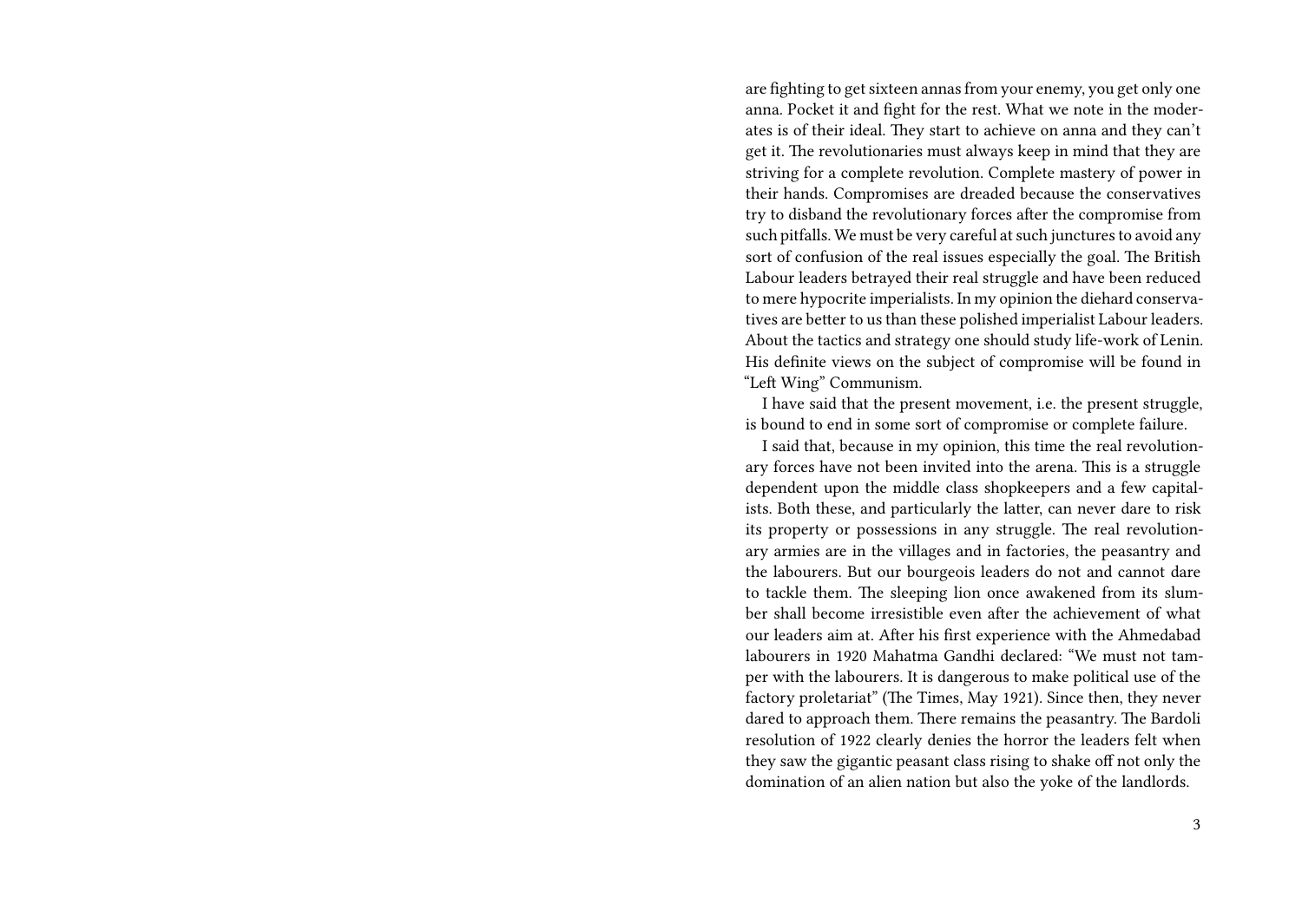are fighting to get sixteen annas from your enemy, you get only one anna. Pocket it and fight for the rest. What we note in the moderates is of their ideal. They start to achieve on anna and they can't get it. The revolutionaries must always keep in mind that they are striving for a complete revolution. Complete mastery of power in their hands. Compromises are dreaded because the conservatives try to disband the revolutionary forces after the compromise from such pitfalls. We must be very careful at such junctures to avoid any sort of confusion of the real issues especially the goal. The British Labour leaders betrayed their real struggle and have been reduced to mere hypocrite imperialists. In my opinion the diehard conservatives are better to us than these polished imperialist Labour leaders. About the tactics and strategy one should study life-work of Lenin. His definite views on the subject of compromise will be found in "Left Wing" Communism.

I have said that the present movement, i.e. the present struggle, is bound to end in some sort of compromise or complete failure.

I said that, because in my opinion, this time the real revolutionary forces have not been invited into the arena. This is a struggle dependent upon the middle class shopkeepers and a few capitalists. Both these, and particularly the latter, can never dare to risk its property or possessions in any struggle. The real revolutionary armies are in the villages and in factories, the peasantry and the labourers. But our bourgeois leaders do not and cannot dare to tackle them. The sleeping lion once awakened from its slumber shall become irresistible even after the achievement of what our leaders aim at. After his first experience with the Ahmedabad labourers in 1920 Mahatma Gandhi declared: "We must not tamper with the labourers. It is dangerous to make political use of the factory proletariat" (The Times, May 1921). Since then, they never dared to approach them. There remains the peasantry. The Bardoli resolution of 1922 clearly denies the horror the leaders felt when they saw the gigantic peasant class rising to shake off not only the domination of an alien nation but also the yoke of the landlords.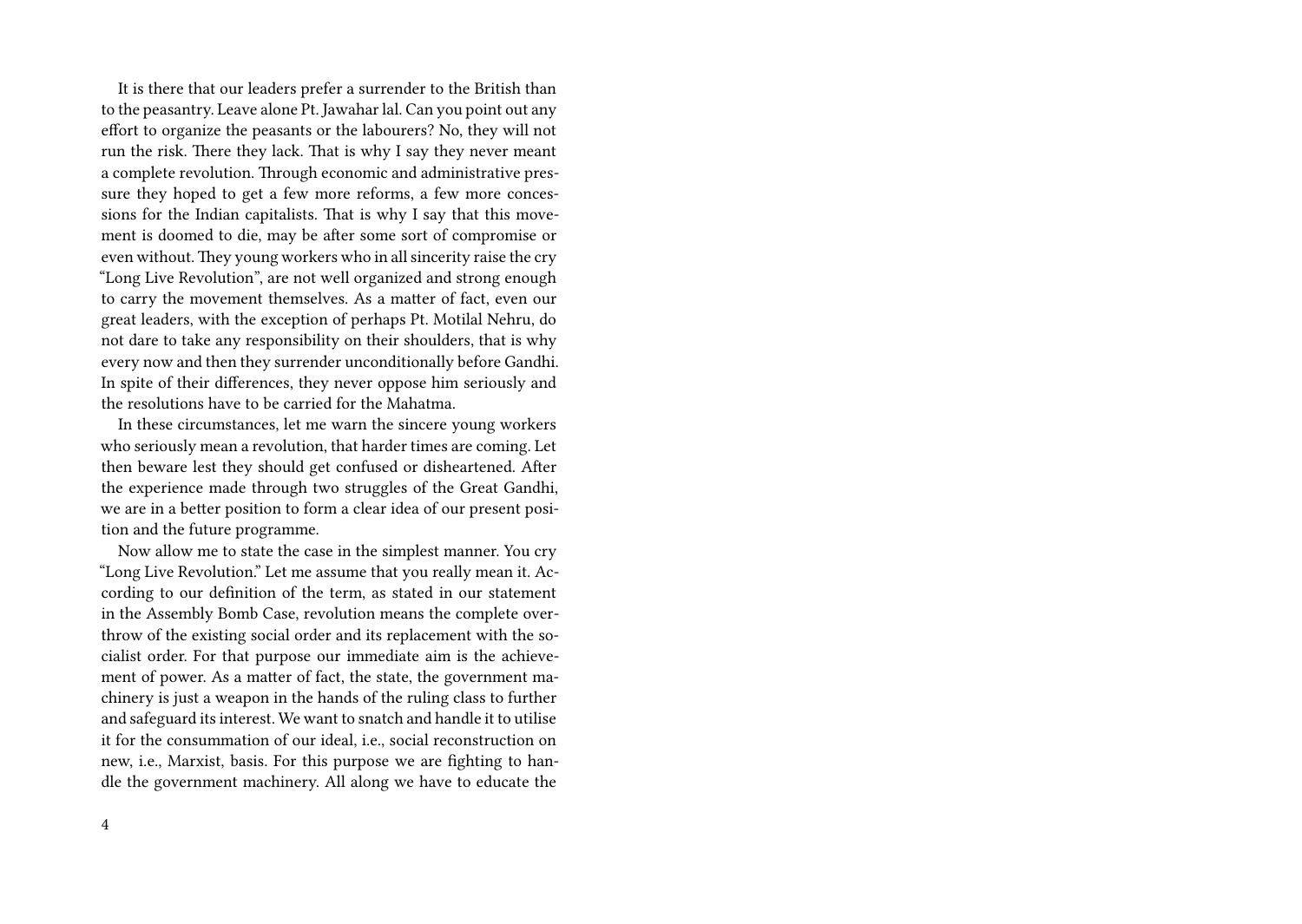It is there that our leaders prefer a surrender to the British than to the peasantry. Leave alone Pt. Jawahar lal. Can you point out any effort to organize the peasants or the labourers? No, they will not run the risk. There they lack. That is why I say they never meant a complete revolution. Through economic and administrative pressure they hoped to get a few more reforms, a few more concessions for the Indian capitalists. That is why I say that this movement is doomed to die, may be after some sort of compromise or even without. They young workers who in all sincerity raise the cry "Long Live Revolution", are not well organized and strong enough to carry the movement themselves. As a matter of fact, even our great leaders, with the exception of perhaps Pt. Motilal Nehru, do not dare to take any responsibility on their shoulders, that is why every now and then they surrender unconditionally before Gandhi. In spite of their differences, they never oppose him seriously and the resolutions have to be carried for the Mahatma.

In these circumstances, let me warn the sincere young workers who seriously mean a revolution, that harder times are coming. Let then beware lest they should get confused or disheartened. After the experience made through two struggles of the Great Gandhi, we are in a better position to form a clear idea of our present position and the future programme.

Now allow me to state the case in the simplest manner. You cry "Long Live Revolution." Let me assume that you really mean it. According to our definition of the term, as stated in our statement in the Assembly Bomb Case, revolution means the complete overthrow of the existing social order and its replacement with the socialist order. For that purpose our immediate aim is the achievement of power. As a matter of fact, the state, the government machinery is just a weapon in the hands of the ruling class to further and safeguard its interest. We want to snatch and handle it to utilise it for the consummation of our ideal, i.e., social reconstruction on new, i.e., Marxist, basis. For this purpose we are fighting to handle the government machinery. All along we have to educate the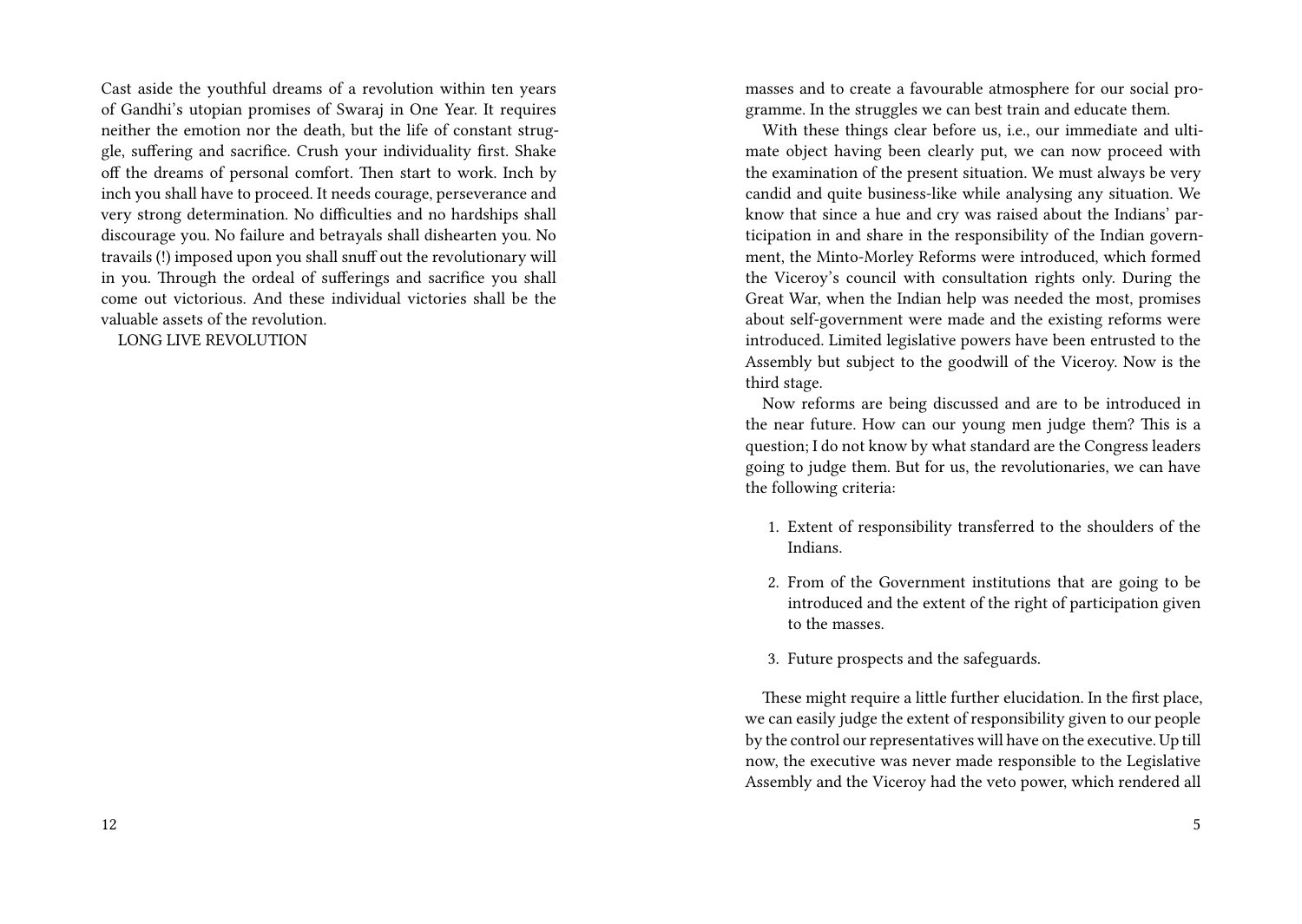Cast aside the youthful dreams of a revolution within ten years of Gandhi's utopian promises of Swaraj in One Year. It requires neither the emotion nor the death, but the life of constant struggle, suffering and sacrifice. Crush your individuality first. Shake off the dreams of personal comfort. Then start to work. Inch by inch you shall have to proceed. It needs courage, perseverance and very strong determination. No difficulties and no hardships shall discourage you. No failure and betrayals shall dishearten you. No travails (!) imposed upon you shall snuff out the revolutionary will in you. Through the ordeal of sufferings and sacrifice you shall come out victorious. And these individual victories shall be the valuable assets of the revolution.

LONG LIVE REVOLUTION

masses and to create a favourable atmosphere for our social programme. In the struggles we can best train and educate them.

With these things clear before us, i.e., our immediate and ultimate object having been clearly put, we can now proceed with the examination of the present situation. We must always be very candid and quite business-like while analysing any situation. We know that since a hue and cry was raised about the Indians' participation in and share in the responsibility of the Indian government, the Minto-Morley Reforms were introduced, which formed the Viceroy's council with consultation rights only. During the Great War, when the Indian help was needed the most, promises about self-government were made and the existing reforms were introduced. Limited legislative powers have been entrusted to the Assembly but subject to the goodwill of the Viceroy. Now is the third stage.

Now reforms are being discussed and are to be introduced in the near future. How can our young men judge them? This is a question; I do not know by what standard are the Congress leaders going to judge them. But for us, the revolutionaries, we can have the following criteria:

- 1. Extent of responsibility transferred to the shoulders of the Indians.
- 2. From of the Government institutions that are going to be introduced and the extent of the right of participation given to the masses.
- 3. Future prospects and the safeguards.

These might require a little further elucidation. In the first place, we can easily judge the extent of responsibility given to our people by the control our representatives will have on the executive. Up till now, the executive was never made responsible to the Legislative Assembly and the Viceroy had the veto power, which rendered all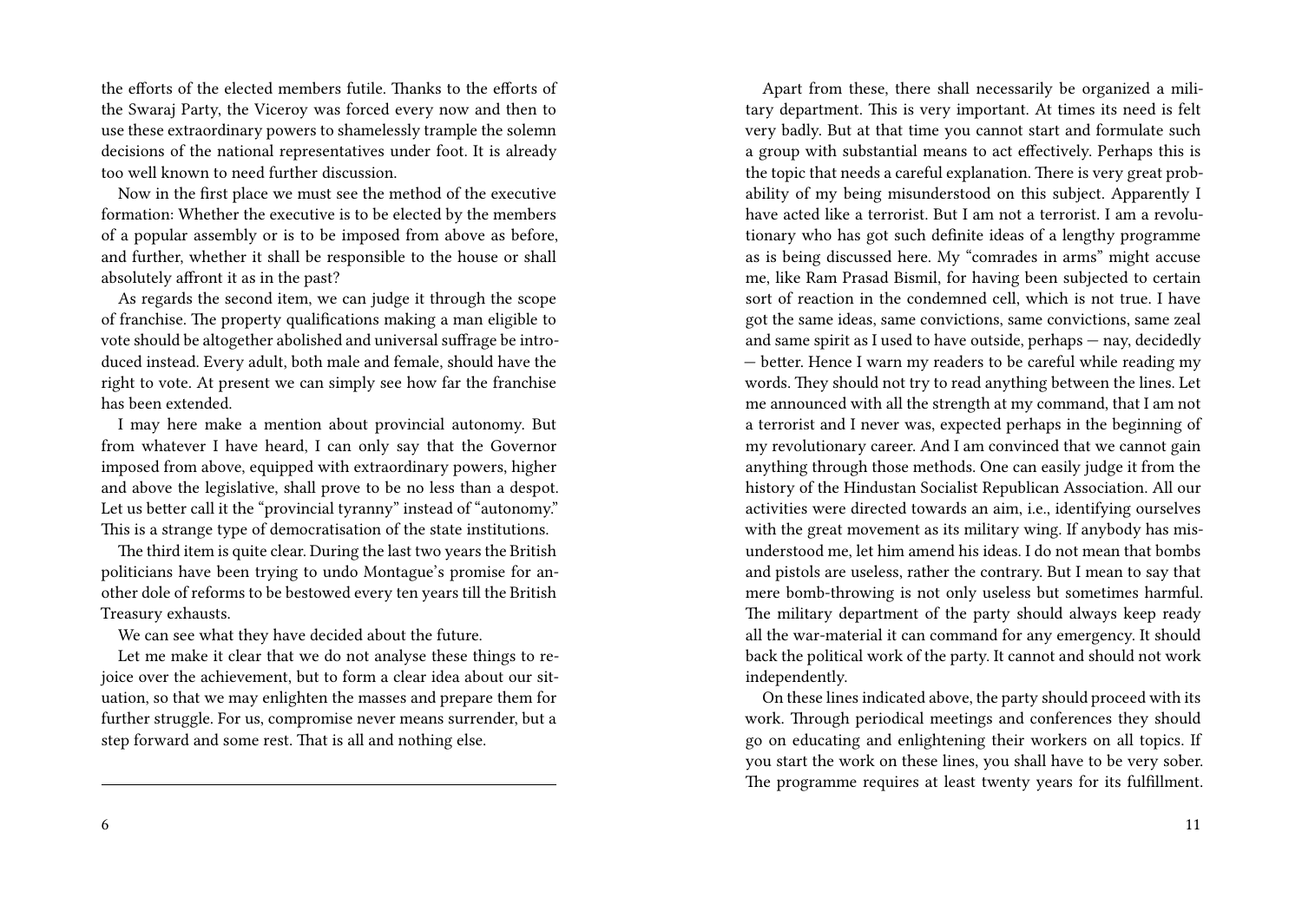the efforts of the elected members futile. Thanks to the efforts of the Swaraj Party, the Viceroy was forced every now and then to use these extraordinary powers to shamelessly trample the solemn decisions of the national representatives under foot. It is already too well known to need further discussion.

Now in the first place we must see the method of the executive formation: Whether the executive is to be elected by the members of a popular assembly or is to be imposed from above as before, and further, whether it shall be responsible to the house or shall absolutely affront it as in the past?

As regards the second item, we can judge it through the scope of franchise. The property qualifications making a man eligible to vote should be altogether abolished and universal suffrage be introduced instead. Every adult, both male and female, should have the right to vote. At present we can simply see how far the franchise has been extended.

I may here make a mention about provincial autonomy. But from whatever I have heard, I can only say that the Governor imposed from above, equipped with extraordinary powers, higher and above the legislative, shall prove to be no less than a despot. Let us better call it the "provincial tyranny" instead of "autonomy." This is a strange type of democratisation of the state institutions.

The third item is quite clear. During the last two years the British politicians have been trying to undo Montague's promise for another dole of reforms to be bestowed every ten years till the British Treasury exhausts.

We can see what they have decided about the future.

Let me make it clear that we do not analyse these things to rejoice over the achievement, but to form a clear idea about our situation, so that we may enlighten the masses and prepare them for further struggle. For us, compromise never means surrender, but a step forward and some rest. That is all and nothing else.

Apart from these, there shall necessarily be organized a military department. This is very important. At times its need is felt very badly. But at that time you cannot start and formulate such a group with substantial means to act effectively. Perhaps this is the topic that needs a careful explanation. There is very great probability of my being misunderstood on this subject. Apparently I have acted like a terrorist. But I am not a terrorist. I am a revolutionary who has got such definite ideas of a lengthy programme as is being discussed here. My "comrades in arms" might accuse me, like Ram Prasad Bismil, for having been subjected to certain sort of reaction in the condemned cell, which is not true. I have got the same ideas, same convictions, same convictions, same zeal and same spirit as I used to have outside, perhaps — nay, decidedly — better. Hence I warn my readers to be careful while reading my words. They should not try to read anything between the lines. Let me announced with all the strength at my command, that I am not a terrorist and I never was, expected perhaps in the beginning of my revolutionary career. And I am convinced that we cannot gain anything through those methods. One can easily judge it from the history of the Hindustan Socialist Republican Association. All our activities were directed towards an aim, i.e., identifying ourselves with the great movement as its military wing. If anybody has misunderstood me, let him amend his ideas. I do not mean that bombs and pistols are useless, rather the contrary. But I mean to say that mere bomb-throwing is not only useless but sometimes harmful. The military department of the party should always keep ready all the war-material it can command for any emergency. It should back the political work of the party. It cannot and should not work independently.

On these lines indicated above, the party should proceed with its work. Through periodical meetings and conferences they should go on educating and enlightening their workers on all topics. If you start the work on these lines, you shall have to be very sober. The programme requires at least twenty years for its fulfillment.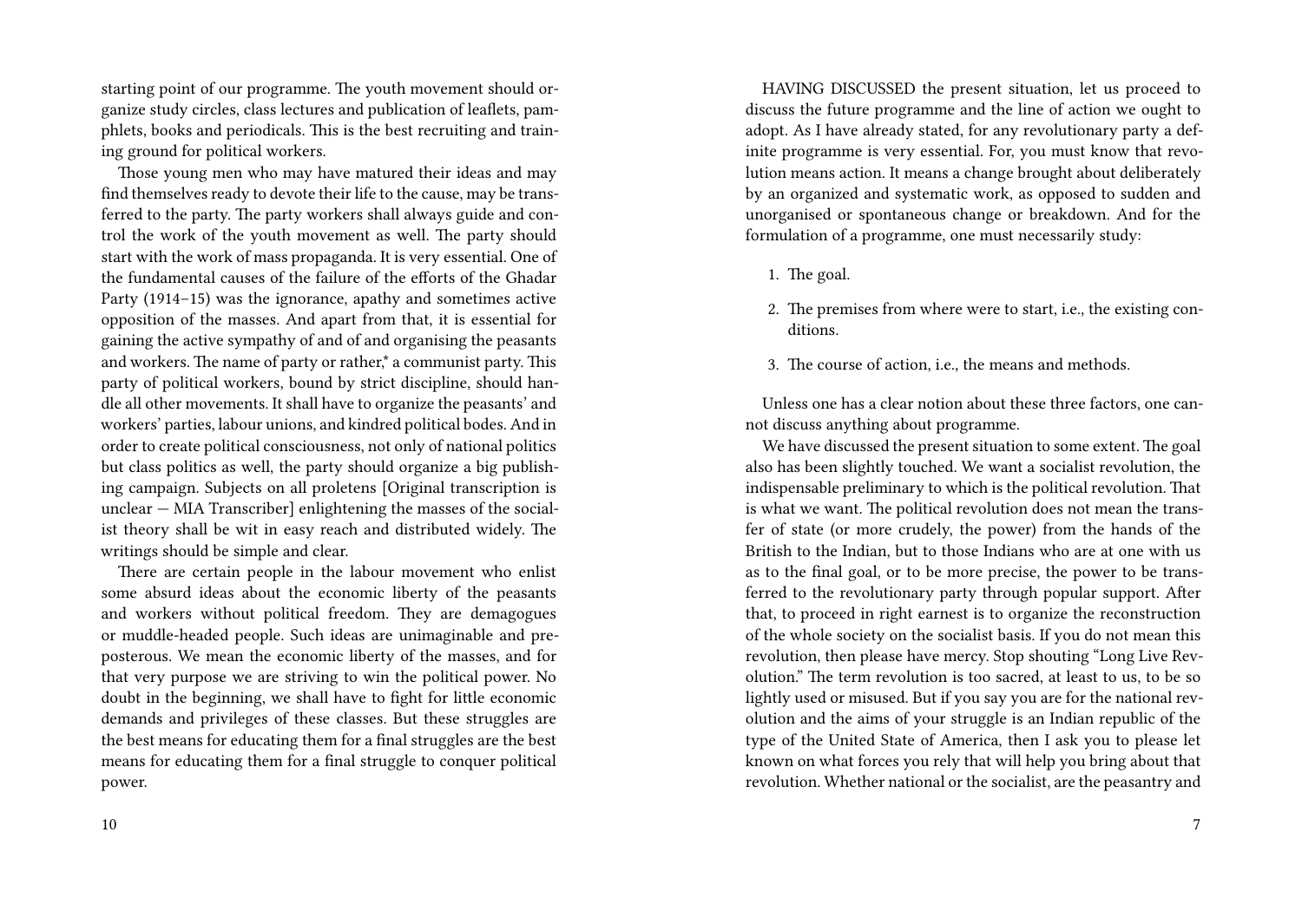starting point of our programme. The youth movement should organize study circles, class lectures and publication of leaflets, pamphlets, books and periodicals. This is the best recruiting and training ground for political workers.

Those young men who may have matured their ideas and may find themselves ready to devote their life to the cause, may be transferred to the party. The party workers shall always guide and control the work of the youth movement as well. The party should start with the work of mass propaganda. It is very essential. One of the fundamental causes of the failure of the efforts of the Ghadar Party (1914–15) was the ignorance, apathy and sometimes active opposition of the masses. And apart from that, it is essential for gaining the active sympathy of and of and organising the peasants and workers. The name of party or rather,\* a communist party. This party of political workers, bound by strict discipline, should handle all other movements. It shall have to organize the peasants' and workers' parties, labour unions, and kindred political bodes. And in order to create political consciousness, not only of national politics but class politics as well, the party should organize a big publishing campaign. Subjects on all proletens [Original transcription is unclear — MIA Transcriber] enlightening the masses of the socialist theory shall be wit in easy reach and distributed widely. The writings should be simple and clear.

There are certain people in the labour movement who enlist some absurd ideas about the economic liberty of the peasants and workers without political freedom. They are demagogues or muddle-headed people. Such ideas are unimaginable and preposterous. We mean the economic liberty of the masses, and for that very purpose we are striving to win the political power. No doubt in the beginning, we shall have to fight for little economic demands and privileges of these classes. But these struggles are the best means for educating them for a final struggles are the best means for educating them for a final struggle to conquer political power.

HAVING DISCUSSED the present situation, let us proceed to discuss the future programme and the line of action we ought to adopt. As I have already stated, for any revolutionary party a definite programme is very essential. For, you must know that revolution means action. It means a change brought about deliberately by an organized and systematic work, as opposed to sudden and unorganised or spontaneous change or breakdown. And for the formulation of a programme, one must necessarily study:

- 1. The goal.
- 2. The premises from where were to start, i.e., the existing conditions.
- 3. The course of action, i.e., the means and methods.

Unless one has a clear notion about these three factors, one cannot discuss anything about programme.

We have discussed the present situation to some extent. The goal also has been slightly touched. We want a socialist revolution, the indispensable preliminary to which is the political revolution. That is what we want. The political revolution does not mean the transfer of state (or more crudely, the power) from the hands of the British to the Indian, but to those Indians who are at one with us as to the final goal, or to be more precise, the power to be transferred to the revolutionary party through popular support. After that, to proceed in right earnest is to organize the reconstruction of the whole society on the socialist basis. If you do not mean this revolution, then please have mercy. Stop shouting "Long Live Revolution." The term revolution is too sacred, at least to us, to be so lightly used or misused. But if you say you are for the national revolution and the aims of your struggle is an Indian republic of the type of the United State of America, then I ask you to please let known on what forces you rely that will help you bring about that revolution. Whether national or the socialist, are the peasantry and